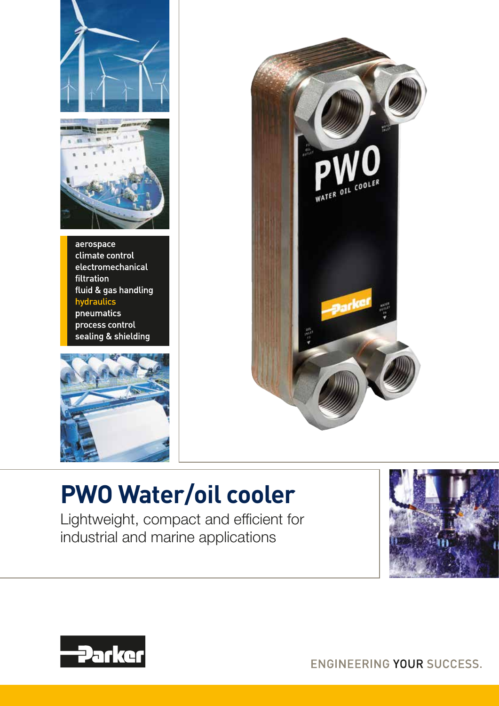



aerospace climate control electromechanical filtration fluid & gas handling hydraulics pneumatics process control sealing & shielding





# **PWO Water/oil cooler**

Lightweight, compact and efficient for industrial and marine applications





ENGINEERING YOUR SUCCESS.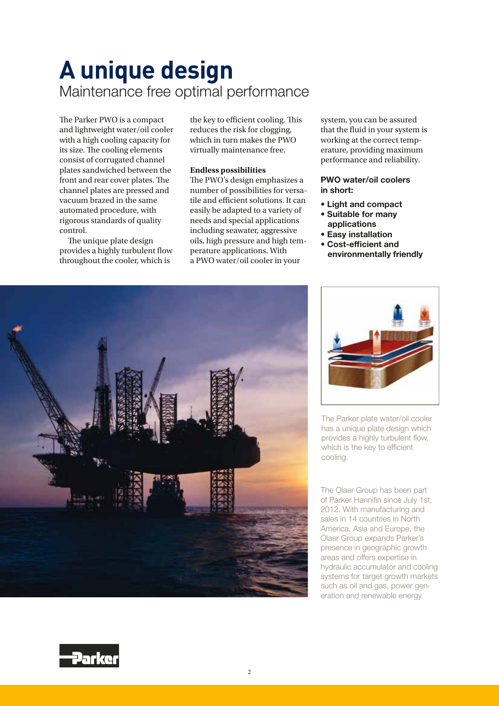## **A unique design** Maintenance free optimal performance

The Parker PWO is a compact and lightweight water/oil cooler with a high cooling capacity for its size. The cooling elements consist of corrugated channel plates sandwiched between the front and rear cover plates. The channel plates are pressed and vacuum brazed in the same automated procedure, with rigorous standards of quality control.

The unique plate design provides a highly turbulent flow throughout the cooler, which is

the key to efficient cooling. This reduces the risk for clogging, which in turn makes the PWO virtually maintenance free.

## **Endless possibilities**

The PWO's design emphasizes a number of possibilities for versatile and efficient solutions. It can easily be adapted to a variety of needs and special applications including seawater, aggressive oils, high pressure and high temperature applications. With a PWO water/oil cooler in your

system, you can be assured that the fluid in your system is working at the correct temperature, providing maximum performance and reliability.

## PWO water/oil coolers in short:

- Light and compact
- Suitable for many applications
- Easy installation
- Cost-efficient and environmentally friendly





The Parker plate water/oil cooler has a unique plate design which provides a highly turbulent flow, which is the key to efficient cooling.

The Olaer Group has been part of Parker Hannifin since July 1st, 2012. With manufacturing and sales in 14 countries in North America, Asia and Europe, the Olaer Group expands Parker's presence in geographic growth areas and offers expertise in hydraulic accumulator and cooling systems for target growth markets such as oil and gas, power generation and renewable energy.

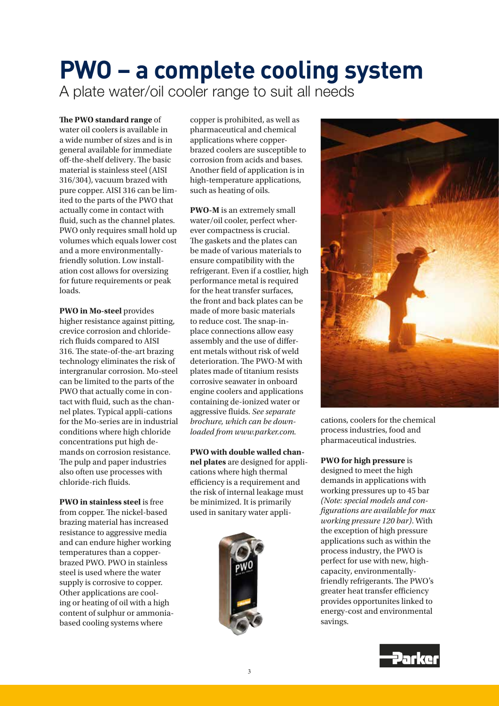## **PWO – a complete cooling system** A plate water/oil cooler range to suit all needs

## **e PWO standard range** of

water oil coolers is available in a wide number of sizes and is in general available for immediate off-the-shelf delivery. The basic material is stainless steel (AISI 316/304), vacuum brazed with pure copper. AISI 316 can be limited to the parts of the PWO that actually come in contact with fluid, such as the channel plates. PWO only requires small hold up volumes which equals lower cost and a more environmentallyfriendly solution. Low installation cost allows for oversizing for future requirements or peak loads.

**PWO in Mo-steel** provides higher resistance against pitting, crevice corrosion and chloriderich fluids compared to AISI 316. The state-of-the-art brazing technology eliminates the risk of intergranular corrosion. Mo-steel can be limited to the parts of the PWO that actually come in contact with fluid, such as the channel plates. Typical appli-cations for the Mo-series are in industrial conditions where high chloride concentrations put high demands on corrosion resistance. The pulp and paper industries also often use processes with chloride-rich fluids.

**PWO in stainless steel** is free from copper. The nickel-based brazing material has increased resistance to aggressive media and can endure higher working temperatures than a copperbrazed PWO. PWO in stainless steel is used where the water supply is corrosive to copper. Other applications are cooling or heating of oil with a high content of sulphur or ammoniabased cooling systems where

copper is prohibited, as well as pharmaceutical and chemical applications where copperbrazed coolers are susceptible to corrosion from acids and bases. Another field of application is in high-temperature applications, such as heating of oils.

**PWO-M** is an extremely small water/oil cooler, perfect wherever compactness is crucial. The gaskets and the plates can be made of various materials to ensure compatibility with the refrigerant. Even if a costlier, high performance metal is required for the heat transfer surfaces, the front and back plates can be made of more basic materials to reduce cost. The snap-inplace connections allow easy assembly and the use of different metals without risk of weld deterioration. The PWO-M with plates made of titanium resists corrosive seawater in onboard engine coolers and applications containing de-ionized water or aggressive fluids. See separate *brochure, which can be downloaded from www.parker.com.*

**PWO with double walled channel plates** are designed for applications where high thermal efficiency is a requirement and the risk of internal leakage must be minimized. It is primarily used in sanitary water appli-





cations, coolers for the chemical process industries, food and pharmaceutical industries.

### **PWO for high pressure** is

designed to meet the high demands in applications with working pressures up to 45 bar *(Note: special models and con gurations are available for max working pressure 120 bar)*. With the exception of high pressure applications such as within the process industry, the PWO is perfect for use with new, highcapacity, environmentallyfriendly refrigerants. The PWO's greater heat transfer efficiency provides opportunites linked to energy-cost and environmental savings.

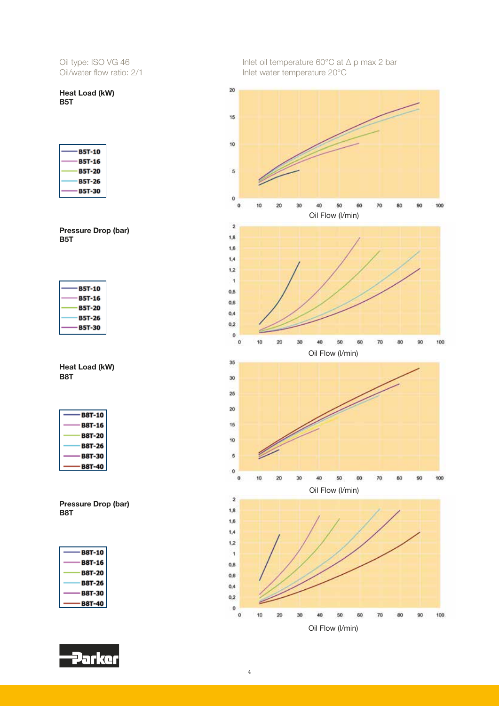Heat Load (kW) B5T

| <b>B5T-10</b> |
|---------------|
| <b>B5T-16</b> |
| <b>B5T-20</b> |
| <b>B5T-26</b> |
| B5T-30        |

Pressure Drop (bar) B5T

| <b>B5T-10</b> |
|---------------|
| <b>B5T-16</b> |
| <b>B5T-20</b> |
| <b>B5T-26</b> |
| <b>B5T-30</b> |

Heat Load (kW) B8T

| B8T-10        |
|---------------|
| <b>B8T-16</b> |
| <b>B8T-20</b> |
| <b>B8T-26</b> |
| <b>B8T-30</b> |
| 8T-4          |

Pressure Drop (bar) B8T

| <b>B8T-10</b> |
|---------------|
| <b>B8T-16</b> |
| <b>B8T-20</b> |
| <b>B8T-26</b> |
| <b>B8T-30</b> |
| т-4<br>ш      |



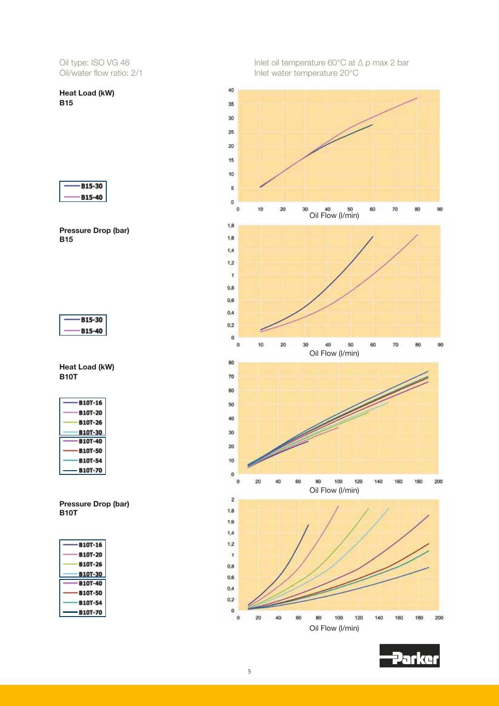Heat Load (kW) **B15** 



Pressure Drop (bar) B15



Heat Load (kW) B10T

| <b>B10T-16</b> |
|----------------|
| <b>B10T-20</b> |
| <b>B10T-26</b> |
| <b>B10T-30</b> |
|                |
| <b>B10T-40</b> |
| <b>B10T-50</b> |
| <b>B10T-54</b> |

Pressure Drop (bar) B10T

| <b>B10T-16</b> |
|----------------|
| <b>B10T-20</b> |
| <b>B10T-26</b> |
| <b>B10T-30</b> |
| <b>B10T-40</b> |
| <b>B10T-50</b> |
| <b>10T-54</b>  |
| 10T-7          |



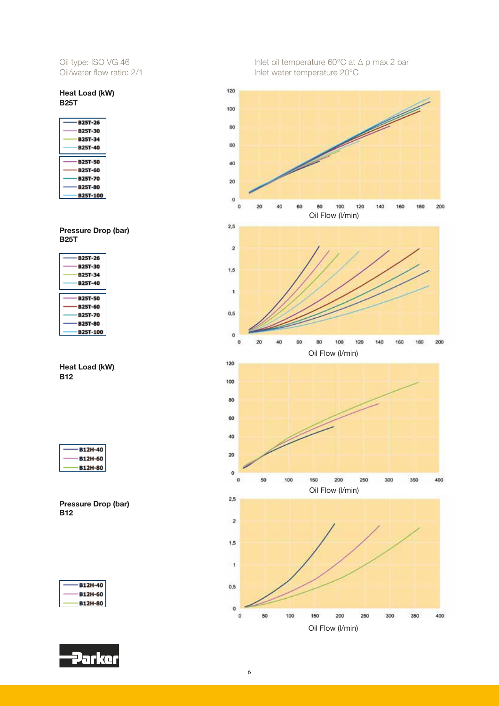## Heat Load (kW) B25T

| <b>B25T-26</b> |
|----------------|
| <b>B25T-30</b> |
| <b>B25T-34</b> |
| <b>B25T-40</b> |
|                |
|                |
| <b>B25T-50</b> |
| <b>B25T-60</b> |
| <b>B25T-70</b> |
| <b>B25T-80</b> |

Pressure Drop (bar) B25T

| <b>B25T-26</b> |
|----------------|
| <b>B25T-30</b> |
| <b>B25T-34</b> |
| <b>B25T-40</b> |
|                |
|                |
| <b>B25T-50</b> |
| <b>B25T-60</b> |
| <b>B25T-70</b> |
| <b>B25T-80</b> |

Heat Load (kW) B12

| B12H-4  |
|---------|
| B12H-60 |
| R12H-8  |



| --<br>B12H--                               |  |
|--------------------------------------------|--|
| $\overline{\phantom{a}}$<br><b>B12H-60</b> |  |
| <b>B12H-80</b>                             |  |



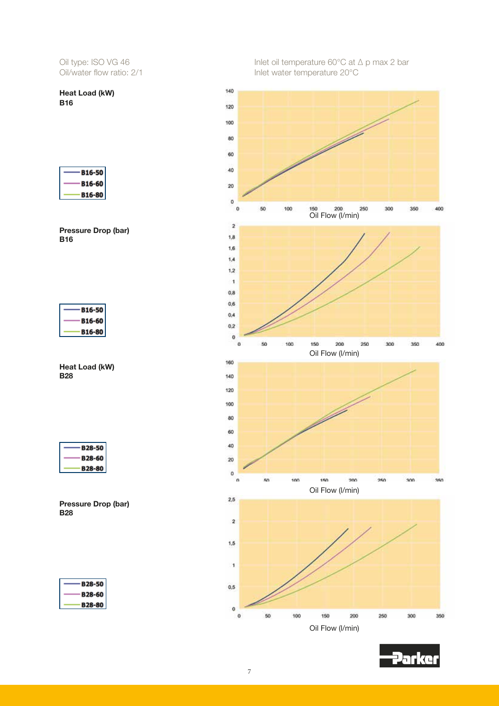Heat Load (kW) B16

| <b>B16-50</b> |  |
|---------------|--|
| <b>B16-60</b> |  |
| <b>B16-80</b> |  |





Heat Load (kW) B28

| $\overline{\phantom{0}}$<br>828-51 |
|------------------------------------|
| R 28-61                            |
| m                                  |







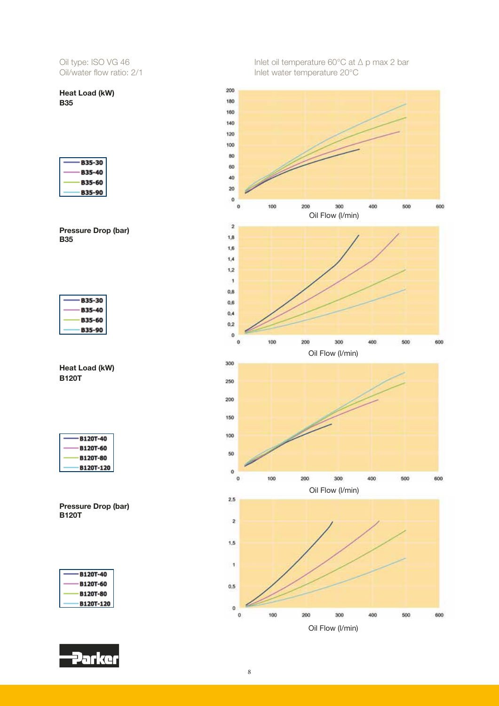Heat Load (kW) **B35** 

| L Ex<br>зκ. |
|-------------|
| B35         |
| вз<br>5-    |
| ∷≮ε         |



| B35-30 |  |
|--------|--|
| B35-   |  |
| B35-60 |  |
| B35-9  |  |
|        |  |

Heat Load (kW) B120T

| B120T-40         |
|------------------|
| <b>B120T-60</b>  |
| <b>B120T-80</b>  |
| <b>B120T-120</b> |

Pressure Drop (bar) B120T

| B120T-4          |
|------------------|
| <b>B120T-60</b>  |
| <b>B120T-80</b>  |
| <b>B120T-120</b> |



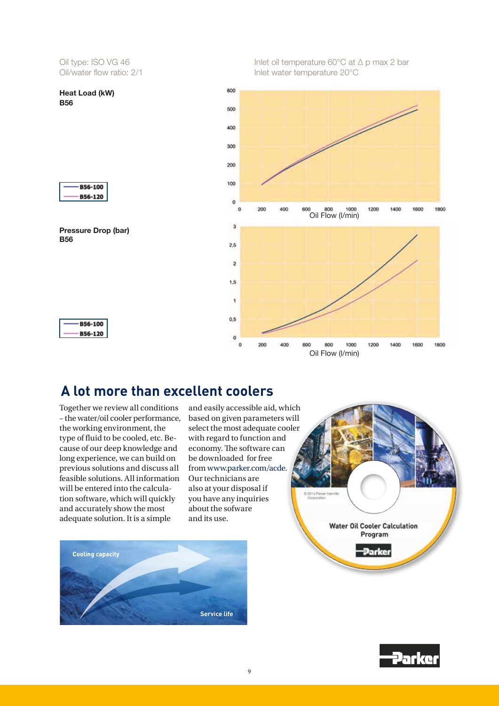

**B56-100** B56-120



**B56-100** B56-120 Inlet oil temperature 60°C at ∆ p max 2 bar Inlet water temperature 20°C



## **A lot more than excellent coolers**

Together we review all conditions – the water/oil cooler performance, the working environment, the type of fluid to be cooled, etc. Because of our deep knowledge and long experience, we can build on previous solutions and discuss all feasible solutions. All information will be entered into the calculation software, which will quickly and accurately show the most adequate solution. It is a simple

and easily accessible aid, which based on given parameters will select the most adequate cooler with regard to function and economy. The software can be downloaded for free from www.parker.com/acde. Our technicians are also at your disposal if you have any inquiries about the sofware and its use.





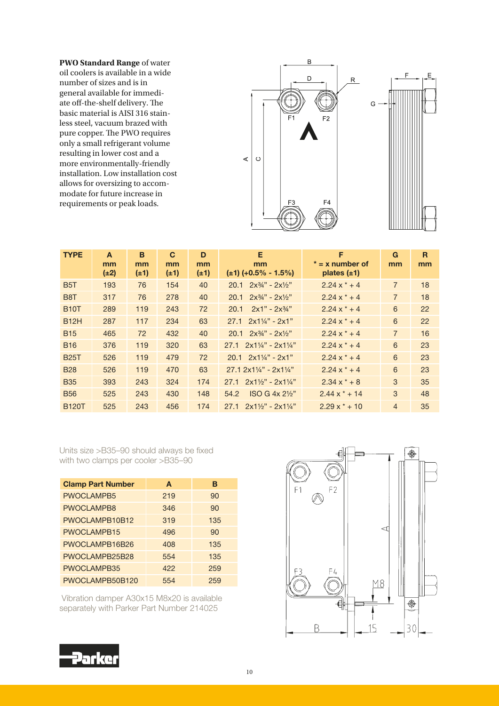**PWO Standard Range** of water oil coolers is available in a wide number of sizes and is in general available for immediate off-the-shelf delivery. The basic material is AISI 316 stainless steel, vacuum brazed with pure copper. The PWO requires only a small refrigerant volume resulting in lower cost and a more environmentally-friendly installation. Low installation cost allows for oversizing to accommodate for future increase in requirements or peak loads.



| <b>TYPE</b>      | A<br>mm<br>$(\pm 2)$ | B<br>mm<br>$(\pm 1)$ | C<br>mm<br>$(\pm 1)$ | D<br>mm<br>$(\pm 1)$ | Е<br>mm<br>$(\pm 1)$ (+0.5% - 1.5%)              | F<br>$* = x$ number of<br>plates $(\pm 1)$ | G<br>mm        | R<br>mm |
|------------------|----------------------|----------------------|----------------------|----------------------|--------------------------------------------------|--------------------------------------------|----------------|---------|
| B <sub>5</sub> T | 193                  | 76                   | 154                  | 40                   | $2x^{3/2} - 2x^{1/2}$<br>20.1                    | $2.24x^* + 4$                              | $\overline{7}$ | 18      |
| B <sub>8</sub> T | 317                  | 76                   | 278                  | 40                   | $2x^{3/4} - 2x^{1/2}$<br>20.1                    | $2.24x^* + 4$                              | $\overline{7}$ | 18      |
| <b>B10T</b>      | 289                  | 119                  | 243                  | 72                   | $2x1" - 2x34"$<br>20.1                           | $2.24x^* + 4$                              | 6              | 22      |
| <b>B12H</b>      | 287                  | 117                  | 234                  | 63                   | $2x1\frac{1}{4}$ " - 2x1"<br>27.1                | $2.24x^* + 4$                              | 6              | 22      |
| <b>B15</b>       | 465                  | 72                   | 432                  | 40                   | $20.1 \quad 2x\frac{3}{4}$ " - $2x\frac{1}{2}$ " | $2.24x^* + 4$                              | $\overline{7}$ | 16      |
| <b>B16</b>       | 376                  | 119                  | 320                  | 63                   | $2x1\frac{1}{4}$ " - $2x1\frac{1}{4}$ "<br>27.1  | $2.24x^* + 4$                              | 6              | 23      |
| <b>B25T</b>      | 526                  | 119                  | 479                  | 72                   | $20.1 \quad 2 \times 1\frac{1}{4}$ - 2x1"        | $2.24x^* + 4$                              | 6              | 23      |
| <b>B28</b>       | 526                  | 119                  | 470                  | 63                   | $27.12x1\frac{1}{4} - 2x1\frac{1}{4}$            | $2.24x^* + 4$                              | 6              | 23      |
| <b>B35</b>       | 393                  | 243                  | 324                  | 174                  | $2x1\frac{1}{2}$ " - $2x1\frac{1}{4}$ "<br>27.1  | $2.34 \times x + 8$                        | 3              | 35      |
| <b>B56</b>       | 525                  | 243                  | 430                  | 148                  | $ISO G 4x 2\frac{1}{2}$<br>54.2                  | $2.44 \times$ * + 14                       | 3              | 48      |
| <b>B120T</b>     | 525                  | 243                  | 456                  | 174                  | 27.1<br>$2x1\frac{1}{2}$ " - 2x1 $\frac{1}{4}$ " | $2.29x*+10$                                | $\overline{4}$ | 35      |

Units size >B35–90 should always be fixed with two clamps per cooler >B35–90

| <b>Clamp Part Number</b> | A   | в   |
|--------------------------|-----|-----|
| <b>PWOCLAMPB5</b>        | 219 | 90  |
| PWOCLAMPB8               | 346 | 90  |
| PWOCLAMPB10B12           | 319 | 135 |
| PWOCLAMPB15              | 496 | 90  |
| PWOCLAMPB16B26           | 408 | 135 |
| PWOCLAMPB25B28           | 554 | 135 |
| PWOCLAMPB35              | 422 | 259 |
| PWOCLAMPB50B120          | 554 | 259 |

 Vibration damper A30x15 M8x20 is available separately with Parker Part Number 214025



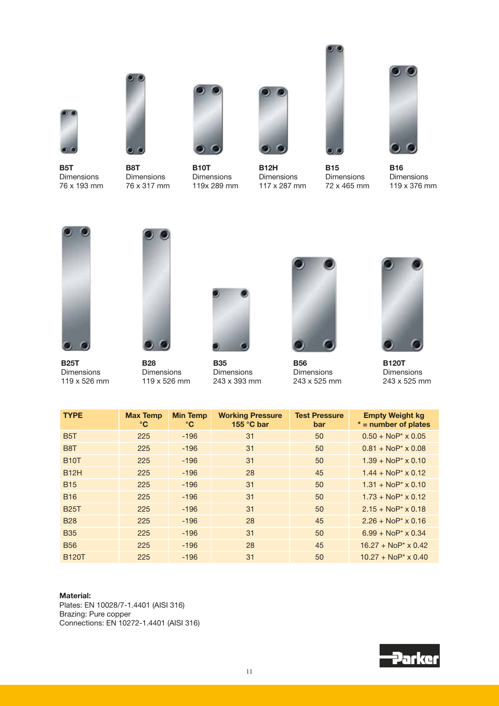

B5T Dimensions 76 x 193 mm



B8T Dimensions 76 x 317 mm



B10T Dimensions 119x 289 mm



B12H Dimensions 117 x 287 mm



**B15** Dimensions 72 x 465 mm



B16 Dimensions 119 x 376 mm



B25T Dimensions 119 x 526 mm



B28 Dimensions 119 x 526 mm



**B35** Dimensions 243 x 393 mm



B56 Dimensions 243 x 525 mm



B120T Dimensions 243 x 525 mm

| <b>TYPE</b>      | <b>Max Temp</b><br>$\rm ^{\circ}C$ | <b>Min Temp</b><br>$\rm ^{\circ}C$ | <b>Working Pressure</b><br>155 °C bar | <b>Test Pressure</b><br>bar | <b>Empty Weight kg</b><br>$* =$ number of plates |
|------------------|------------------------------------|------------------------------------|---------------------------------------|-----------------------------|--------------------------------------------------|
| B <sub>5</sub> T | 225                                | $-196$                             | 31                                    | 50                          | $0.50 + \text{NoP*} \times 0.05$                 |
| B <sub>8</sub> T | 225                                | $-196$                             | 31                                    | 50                          | $0.81 + NoP* \times 0.08$                        |
| <b>B10T</b>      | 225                                | $-196$                             | 31                                    | 50                          | $1.39 + NoP* \times 0.10$                        |
| <b>B12H</b>      | 225                                | $-196$                             | 28                                    | 45                          | $1.44 + NoP* \times 0.12$                        |
| <b>B15</b>       | 225                                | $-196$                             | 31                                    | 50                          | $1.31 + NoP* \times 0.10$                        |
| <b>B16</b>       | 225                                | $-196$                             | 31                                    | 50                          | $1.73 + NoP* \times 0.12$                        |
| <b>B25T</b>      | 225                                | $-196$                             | 31                                    | 50                          | $2.15 + \text{NoP}^* \times 0.18$                |
| <b>B28</b>       | 225                                | $-196$                             | 28                                    | 45                          | $2.26 + \text{NoP}^* \times 0.16$                |
| <b>B35</b>       | 225                                | $-196$                             | 31                                    | 50                          | $6.99 + NoP* \times 0.34$                        |
| <b>B56</b>       | 225                                | $-196$                             | 28                                    | 45                          | $16.27 + \text{NoP}^* \times 0.42$               |
| <b>B120T</b>     | 225                                | $-196$                             | 31                                    | 50                          | $10.27 + NoP* \times 0.40$                       |

#### Material:

Plates: EN 10028/7-1.4401 (AISI 316) Brazing: Pure copper Connections: EN 10272-1.4401 (AISI 316)